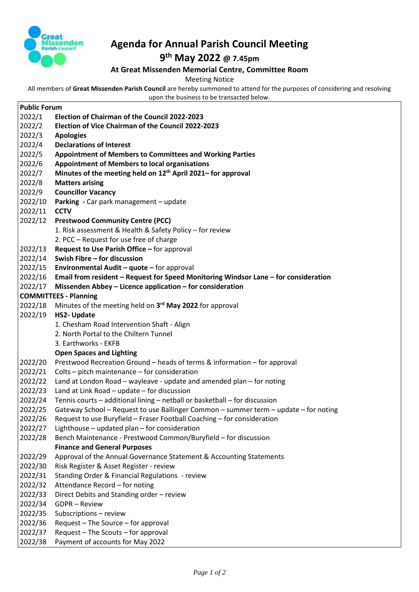

## **Agenda for Annual Parish Council Meeting**

## **9 th May 2022 @ 7.45pm**

## **At Great Missenden Memorial Centre, Committee Room**

Meeting Notice

All members of **Great Missenden Parish Council** are hereby summoned to attend for the purposes of considering and resolving upon the business to be transacted below.

| <b>Public Forum</b>                                                       |                                                                                      |  |  |  |  |
|---------------------------------------------------------------------------|--------------------------------------------------------------------------------------|--|--|--|--|
| 2022/1                                                                    | Election of Chairman of the Council 2022-2023                                        |  |  |  |  |
| 2022/2                                                                    | Election of Vice Chairman of the Council 2022-2023                                   |  |  |  |  |
| 2022/3                                                                    | <b>Apologies</b>                                                                     |  |  |  |  |
| 2022/4<br><b>Declarations of Interest</b>                                 |                                                                                      |  |  |  |  |
| 2022/5<br><b>Appointment of Members to Committees and Working Parties</b> |                                                                                      |  |  |  |  |
| 2022/6<br><b>Appointment of Members to local organisations</b>            |                                                                                      |  |  |  |  |
| 2022/7                                                                    | Minutes of the meeting held on 12 <sup>th</sup> April 2021– for approval             |  |  |  |  |
| 2022/8                                                                    | <b>Matters arising</b>                                                               |  |  |  |  |
| 2022/9                                                                    | <b>Councillor Vacancy</b>                                                            |  |  |  |  |
| 2022/10                                                                   | Parking - Car park management - update                                               |  |  |  |  |
| 2022/11                                                                   | <b>CCTV</b>                                                                          |  |  |  |  |
| 2022/12                                                                   | <b>Prestwood Community Centre (PCC)</b>                                              |  |  |  |  |
|                                                                           | 1. Risk assessment & Health & Safety Policy - for review                             |  |  |  |  |
|                                                                           | 2. PCC - Request for use free of charge                                              |  |  |  |  |
| 2022/13                                                                   | Request to Use Parish Office - for approval                                          |  |  |  |  |
| 2022/14                                                                   | Swish Fibre - for discussion                                                         |  |  |  |  |
| 2022/15                                                                   | Environmental Audit - quote - for approval                                           |  |  |  |  |
| 2022/16                                                                   | Email from resident - Request for Speed Monitoring Windsor Lane - for consideration  |  |  |  |  |
| 2022/17                                                                   | Missenden Abbey - Licence application - for consideration                            |  |  |  |  |
| <b>COMMITTEES - Planning</b>                                              |                                                                                      |  |  |  |  |
| 2022/18                                                                   | Minutes of the meeting held on 3rd May 2022 for approval                             |  |  |  |  |
| 2022/19                                                                   | <b>HS2-Update</b>                                                                    |  |  |  |  |
|                                                                           | 1. Chesham Road Intervention Shaft - Align                                           |  |  |  |  |
|                                                                           | 2. North Portal to the Chiltern Tunnel                                               |  |  |  |  |
|                                                                           | 3. Earthworks - EKFB                                                                 |  |  |  |  |
|                                                                           | <b>Open Spaces and Lighting</b>                                                      |  |  |  |  |
| 2022/20                                                                   | Prestwood Recreation Ground - heads of terms & information - for approval            |  |  |  |  |
| 2022/21                                                                   | Colts - pitch maintenance - for consideration                                        |  |  |  |  |
| 2022/22                                                                   | Land at London Road - wayleave - update and amended plan - for noting                |  |  |  |  |
| 2022/23                                                                   | Land at Link Road - update - for discussion                                          |  |  |  |  |
| 2022/24                                                                   | Tennis courts - additional lining - netball or basketball - for discussion           |  |  |  |  |
| 2022/25                                                                   | Gateway School - Request to use Ballinger Common - summer term - update - for noting |  |  |  |  |
| 2022/26                                                                   | Request to use Buryfield - Fraser Football Coaching - for consideration              |  |  |  |  |
| 2022/27                                                                   | Lighthouse - updated plan - for consideration                                        |  |  |  |  |
| 2022/28                                                                   | Bench Maintenance - Prestwood Common/Buryfield - for discussion                      |  |  |  |  |
|                                                                           | <b>Finance and General Purposes</b>                                                  |  |  |  |  |
| 2022/29                                                                   | Approval of the Annual Governance Statement & Accounting Statements                  |  |  |  |  |
| 2022/30                                                                   | Risk Register & Asset Register - review                                              |  |  |  |  |
| 2022/31                                                                   | Standing Order & Financial Regulations - review                                      |  |  |  |  |
| 2022/32                                                                   | Attendance Record - for noting                                                       |  |  |  |  |
| 2022/33                                                                   | Direct Debits and Standing order - review                                            |  |  |  |  |
| 2022/34                                                                   | <b>GDPR-Review</b>                                                                   |  |  |  |  |
| 2022/35<br>2022/36                                                        | Subscriptions - review                                                               |  |  |  |  |
|                                                                           | Request - The Source - for approval                                                  |  |  |  |  |
| 2022/37                                                                   | Request - The Scouts - for approval                                                  |  |  |  |  |
| 2022/38                                                                   | Payment of accounts for May 2022                                                     |  |  |  |  |